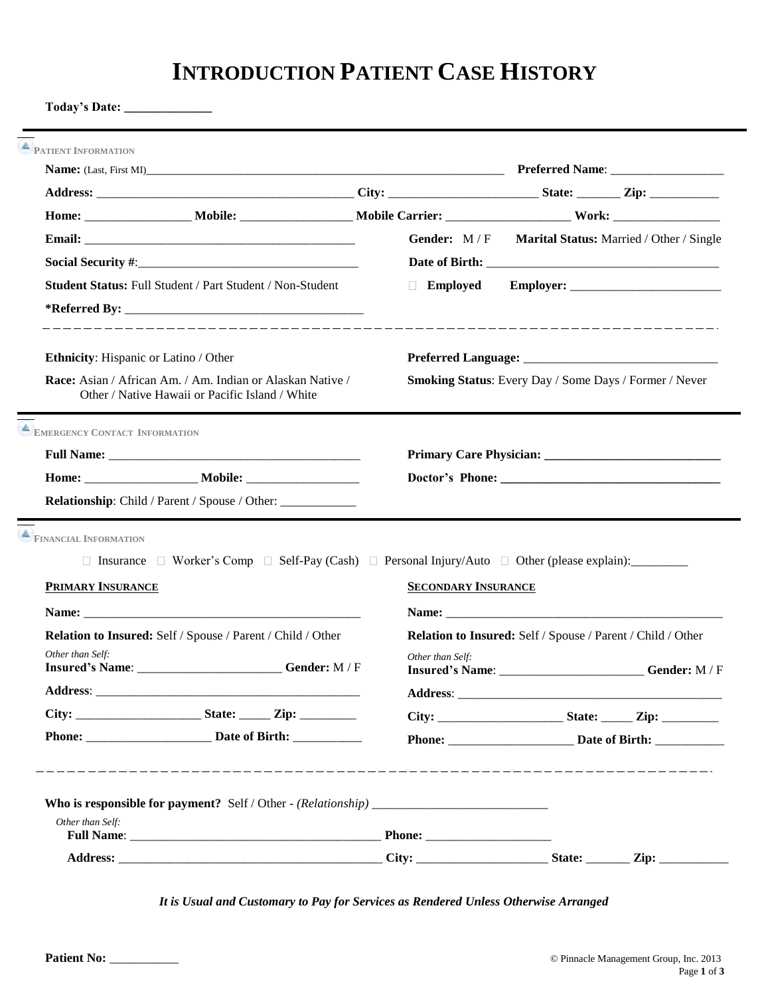# **INTRODUCTION PATIENT CASE HISTORY**

**Today's Date: \_\_\_\_\_\_\_\_\_\_\_\_\_\_**

|                                                                                                                                                                                                                                                    |                            | Gender: M/F Marital Status: Married / Other / Single          |  |
|----------------------------------------------------------------------------------------------------------------------------------------------------------------------------------------------------------------------------------------------------|----------------------------|---------------------------------------------------------------|--|
|                                                                                                                                                                                                                                                    |                            |                                                               |  |
| <b>Student Status: Full Student / Part Student / Non-Student</b>                                                                                                                                                                                   | Employed                   |                                                               |  |
| Ethnicity: Hispanic or Latino / Other                                                                                                                                                                                                              |                            |                                                               |  |
| Race: Asian / African Am. / Am. Indian or Alaskan Native /<br>Other / Native Hawaii or Pacific Island / White                                                                                                                                      |                            | Smoking Status: Every Day / Some Days / Former / Never        |  |
| <b>EMERGENCY CONTACT INFORMATION</b>                                                                                                                                                                                                               |                            |                                                               |  |
|                                                                                                                                                                                                                                                    |                            |                                                               |  |
|                                                                                                                                                                                                                                                    |                            |                                                               |  |
| <b>Relationship:</b> Child / Parent / Spouse / Other:                                                                                                                                                                                              |                            |                                                               |  |
| EINANCIAL INFORMATION<br>□ Insurance □ Worker's Comp □ Self-Pay (Cash) □ Personal Injury/Auto □ Other (please explain): __________                                                                                                                 |                            |                                                               |  |
| <b>PRIMARY INSURANCE</b>                                                                                                                                                                                                                           | <b>SECONDARY INSURANCE</b> |                                                               |  |
|                                                                                                                                                                                                                                                    |                            |                                                               |  |
| Relation to Insured: Self / Spouse / Parent / Child / Other<br>Other than Self:<br>Insured's Name: _________________________Gender: M/F                                                                                                            | Other than Self:           | Relation to Insured: Self / Spouse / Parent / Child / Other   |  |
|                                                                                                                                                                                                                                                    | Address:                   |                                                               |  |
|                                                                                                                                                                                                                                                    |                            |                                                               |  |
|                                                                                                                                                                                                                                                    |                            |                                                               |  |
|                                                                                                                                                                                                                                                    |                            |                                                               |  |
| Other than Self:<br>Full Name: Phone: Phone: Phone: Phone: Phone: Phone: Phone: Phone: Phone: Phone: Phone: Phone: Phone: Phone: Phone: Phone: Phone: Phone: Phone: Phone: Phone: Phone: Phone: Phone: Phone: Phone: Phone: Phone: Phone: Phone: P |                            | <b>Insured's Name:</b> _________________________Gender: M / F |  |

*It is Usual and Customary to Pay for Services as Rendered Unless Otherwise Arranged*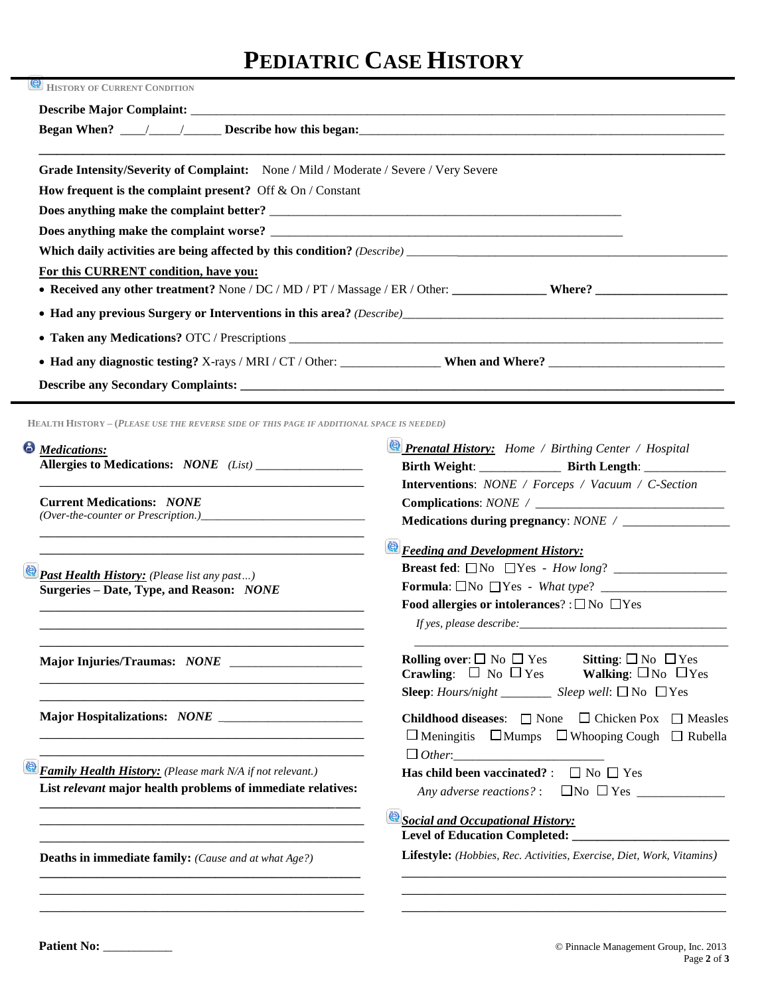# **PEDIATRIC CASE HISTORY**

| <u>ළ</u><br><b>HISTORY OF CURRENT CONDITION</b>                                                                         |                                                                                                                                                                              |  |
|-------------------------------------------------------------------------------------------------------------------------|------------------------------------------------------------------------------------------------------------------------------------------------------------------------------|--|
|                                                                                                                         |                                                                                                                                                                              |  |
| Grade Intensity/Severity of Complaint: None / Mild / Moderate / Severe / Very Severe                                    |                                                                                                                                                                              |  |
| How frequent is the complaint present? Off $&$ On / Constant                                                            |                                                                                                                                                                              |  |
| Does anything make the complaint better?                                                                                |                                                                                                                                                                              |  |
|                                                                                                                         |                                                                                                                                                                              |  |
|                                                                                                                         |                                                                                                                                                                              |  |
| For this CURRENT condition, have you:                                                                                   |                                                                                                                                                                              |  |
|                                                                                                                         |                                                                                                                                                                              |  |
|                                                                                                                         |                                                                                                                                                                              |  |
|                                                                                                                         |                                                                                                                                                                              |  |
|                                                                                                                         |                                                                                                                                                                              |  |
|                                                                                                                         |                                                                                                                                                                              |  |
|                                                                                                                         |                                                                                                                                                                              |  |
| <b>HEALTH HISTORY - (PLEASE USE THE REVERSE SIDE OF THIS PAGE IF ADDITIONAL SPACE IS NEEDED)</b>                        |                                                                                                                                                                              |  |
|                                                                                                                         | <b>Prenatal History:</b> Home / Birthing Center / Hospital                                                                                                                   |  |
| <b>Medications:</b>                                                                                                     | Birth Weight: ______________ Birth Length: ___________                                                                                                                       |  |
|                                                                                                                         | <b>Interventions:</b> NONE / Forceps / Vacuum / C-Section                                                                                                                    |  |
| <b>Current Medications: NONE</b>                                                                                        |                                                                                                                                                                              |  |
| $(Over-the-counter or Precision.)$                                                                                      |                                                                                                                                                                              |  |
| <u> 1989 - Johann Stoff, deutscher Stoff, der Stoff, der Stoff, der Stoff, der Stoff, der Stoff, der Stoff, der S</u>   | <b>E Feeding and Development History:</b>                                                                                                                                    |  |
|                                                                                                                         |                                                                                                                                                                              |  |
| Past Health History: (Please list any past)<br>Surgeries - Date, Type, and Reason: NONE                                 |                                                                                                                                                                              |  |
|                                                                                                                         | Food allergies or intolerances? : $\Box$ No $\Box$ Yes                                                                                                                       |  |
|                                                                                                                         |                                                                                                                                                                              |  |
|                                                                                                                         |                                                                                                                                                                              |  |
|                                                                                                                         | <b>Rolling over:</b> $\square$ No $\square$ Yes<br><b>Crawling:</b> $\square$ No $\square$ Yes<br>Sitting: $\square$ No $\square$ Yes<br>Walking: $\square$ No $\square$ Yes |  |
| the control of the control of the control of the control of the control of the control of the control of the control of | <b>Sleep</b> : <i>Hours/night</i> _________ <i>Sleep</i> well: $\Box$ No $\Box$ Yes                                                                                          |  |
| and the control of the control of the control of the control of the control of the control of the control of the        |                                                                                                                                                                              |  |
|                                                                                                                         | <b>Childhood diseases:</b> $\Box$ None $\Box$ Chicken Pox $\Box$ Measles<br>$\Box$ Meningitis $\Box$ Mumps $\Box$ Whooping Cough $\Box$ Rubella                              |  |
|                                                                                                                         |                                                                                                                                                                              |  |
| <b>Family Health History:</b> (Please mark N/A if not relevant.)                                                        | Has child been vaccinated? : $\Box$ No $\Box$ Yes                                                                                                                            |  |
| List relevant major health problems of immediate relatives:                                                             |                                                                                                                                                                              |  |
|                                                                                                                         |                                                                                                                                                                              |  |
|                                                                                                                         |                                                                                                                                                                              |  |
|                                                                                                                         | Social and Occupational History:                                                                                                                                             |  |
| <b>Deaths in immediate family:</b> (Cause and at what Age?)                                                             | Lifestyle: (Hobbies, Rec. Activities, Exercise, Diet, Work, Vitamins)                                                                                                        |  |

\_\_\_\_\_\_\_\_\_\_\_\_\_\_\_\_\_\_\_\_\_\_\_\_\_\_\_\_\_\_\_\_\_\_\_\_\_\_\_\_\_\_\_

\_\_\_\_\_\_\_\_\_\_\_\_\_\_\_\_\_\_\_\_\_\_\_\_\_\_\_\_\_\_\_\_\_\_\_\_\_\_\_\_\_\_\_